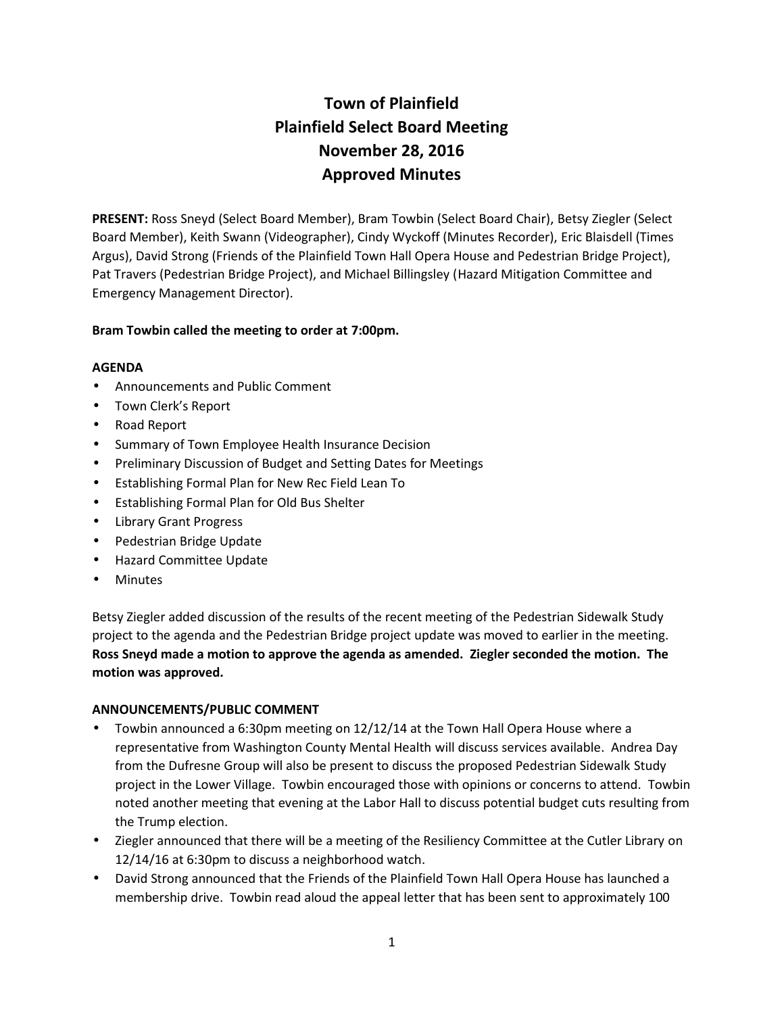# **Town of Plainfield Plainfield Select Board Meeting November 28, 2016 Approved Minutes**

**PRESENT:** Ross Sneyd (Select Board Member), Bram Towbin (Select Board Chair), Betsy Ziegler (Select Board Member), Keith Swann (Videographer), Cindy Wyckoff (Minutes Recorder), Eric Blaisdell (Times Argus), David Strong (Friends of the Plainfield Town Hall Opera House and Pedestrian Bridge Project), Pat Travers (Pedestrian Bridge Project), and Michael Billingsley (Hazard Mitigation Committee and Emergency Management Director).

# **Bram Towbin called the meeting to order at 7:00pm.**

#### **AGENDA**

- Announcements and Public Comment
- Town Clerk's Report
- Road Report
- **•** Summary of Town Employee Health Insurance Decision
- Preliminary Discussion of Budget and Setting Dates for Meetings
- Establishing Formal Plan for New Rec Field Lean To
- Establishing Formal Plan for Old Bus Shelter
- Library Grant Progress
- Pedestrian Bridge Update
- Hazard Committee Update
- Minutes

Betsy Ziegler added discussion of the results of the recent meeting of the Pedestrian Sidewalk Study project to the agenda and the Pedestrian Bridge project update was moved to earlier in the meeting. **Ross Sneyd made a motion to approve the agenda as amended. Ziegler seconded the motion. The motion was approved.**

#### **ANNOUNCEMENTS/PUBLIC COMMENT**

- Towbin announced a 6:30pm meeting on 12/12/14 at the Town Hall Opera House where a representative from Washington County Mental Health will discuss services available. Andrea Day from the Dufresne Group will also be present to discuss the proposed Pedestrian Sidewalk Study project in the Lower Village. Towbin encouraged those with opinions or concerns to attend. Towbin noted another meeting that evening at the Labor Hall to discuss potential budget cuts resulting from the Trump election.
- Ziegler announced that there will be a meeting of the Resiliency Committee at the Cutler Library on 12/14/16 at 6:30pm to discuss a neighborhood watch.
- David Strong announced that the Friends of the Plainfield Town Hall Opera House has launched a membership drive. Towbin read aloud the appeal letter that has been sent to approximately 100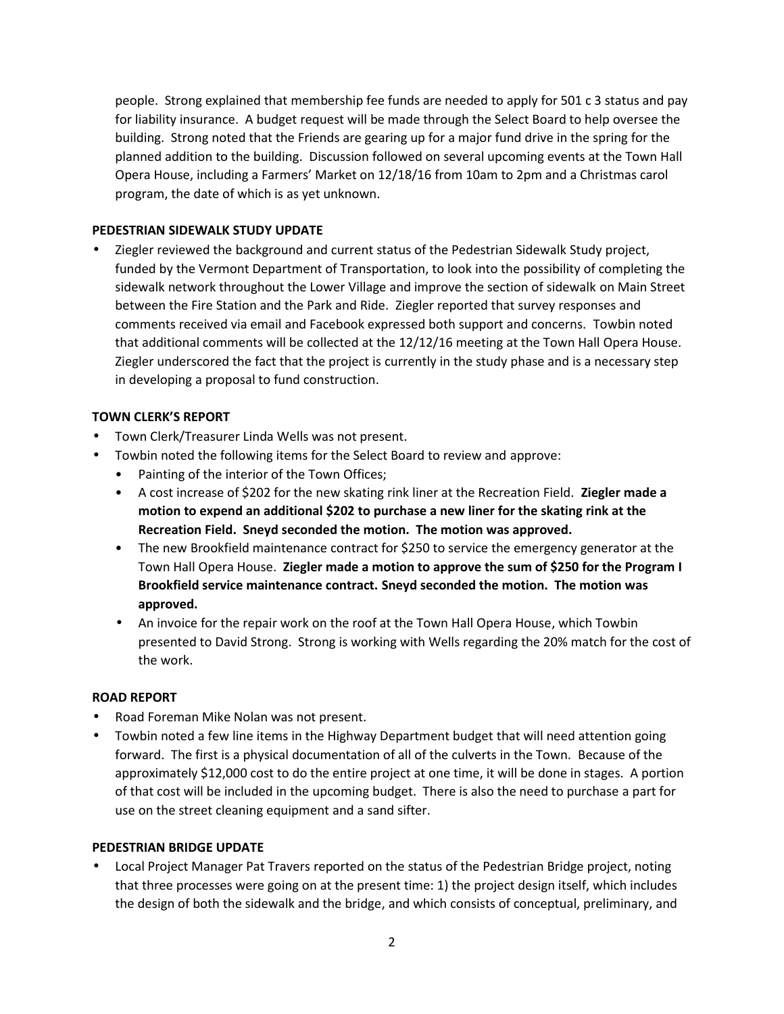people. Strong explained that membership fee funds are needed to apply for 501 c 3 status and pay for liability insurance. A budget request will be made through the Select Board to help oversee the building. Strong noted that the Friends are gearing up for a major fund drive in the spring for the planned addition to the building. Discussion followed on several upcoming events at the Town Hall Opera House, including a Farmers' Market on 12/18/16 from 10am to 2pm and a Christmas carol program, the date of which is as yet unknown.

# **PEDESTRIAN SIDEWALK STUDY UPDATE**

 Ziegler reviewed the background and current status of the Pedestrian Sidewalk Study project, funded by the Vermont Department of Transportation, to look into the possibility of completing the sidewalk network throughout the Lower Village and improve the section of sidewalk on Main Street between the Fire Station and the Park and Ride. Ziegler reported that survey responses and comments received via email and Facebook expressed both support and concerns. Towbin noted that additional comments will be collected at the 12/12/16 meeting at the Town Hall Opera House. Ziegler underscored the fact that the project is currently in the study phase and is a necessary step in developing a proposal to fund construction.

# **TOWN CLERK'S REPORT**

- Town Clerk/Treasurer Linda Wells was not present.
- Towbin noted the following items for the Select Board to review and approve:
	- Painting of the interior of the Town Offices;
	- A cost increase of \$202 for the new skating rink liner at the Recreation Field. **Ziegler made a motion to expend an additional \$202 to purchase a new liner for the skating rink at the Recreation Field. Sneyd seconded the motion. The motion was approved.**
	- The new Brookfield maintenance contract for \$250 to service the emergency generator at the Town Hall Opera House. **Ziegler made a motion to approve the sum of \$250 for the Program I Brookfield service maintenance contract. Sneyd seconded the motion. The motion was approved.**
	- An invoice for the repair work on the roof at the Town Hall Opera House, which Towbin presented to David Strong. Strong is working with Wells regarding the 20% match for the cost of the work.

# **ROAD REPORT**

- Road Foreman Mike Nolan was not present.
- Towbin noted a few line items in the Highway Department budget that will need attention going forward. The first is a physical documentation of all of the culverts in the Town. Because of the approximately \$12,000 cost to do the entire project at one time, it will be done in stages. A portion of that cost will be included in the upcoming budget. There is also the need to purchase a part for use on the street cleaning equipment and a sand sifter.

#### **PEDESTRIAN BRIDGE UPDATE**

 Local Project Manager Pat Travers reported on the status of the Pedestrian Bridge project, noting that three processes were going on at the present time: 1) the project design itself, which includes the design of both the sidewalk and the bridge, and which consists of conceptual, preliminary, and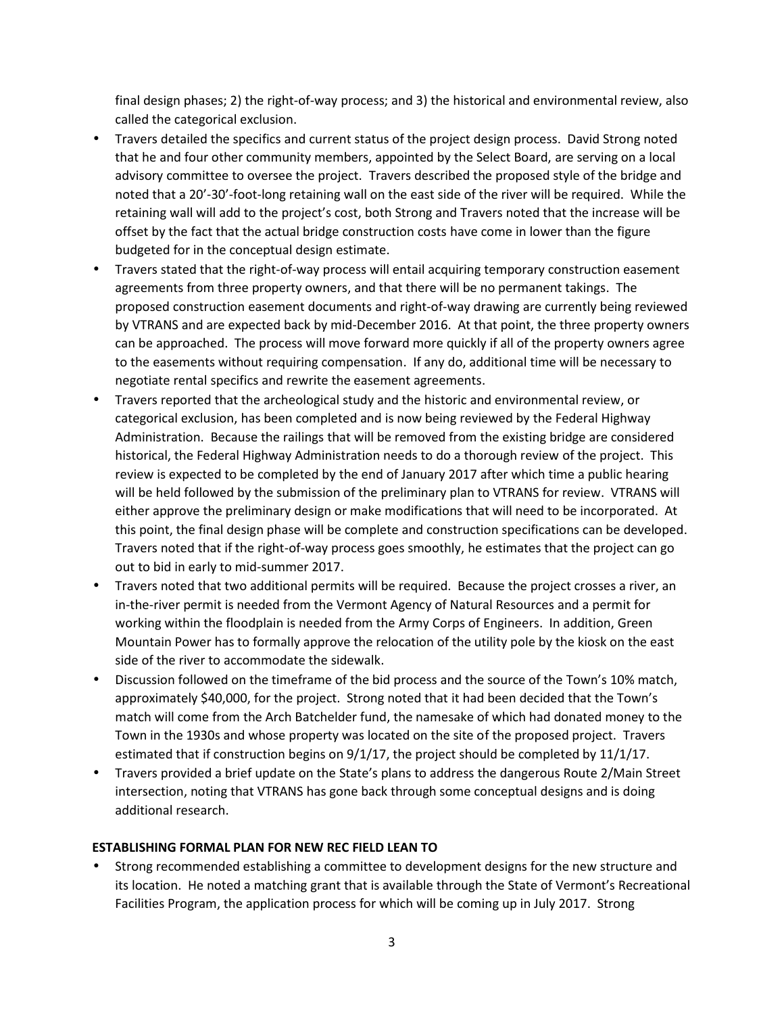final design phases; 2) the right-of-way process; and 3) the historical and environmental review, also called the categorical exclusion.

- Travers detailed the specifics and current status of the project design process. David Strong noted that he and four other community members, appointed by the Select Board, are serving on a local advisory committee to oversee the project. Travers described the proposed style of the bridge and noted that a 20'-30'-foot-long retaining wall on the east side of the river will be required. While the retaining wall will add to the project's cost, both Strong and Travers noted that the increase will be offset by the fact that the actual bridge construction costs have come in lower than the figure budgeted for in the conceptual design estimate.
- Travers stated that the right-of-way process will entail acquiring temporary construction easement agreements from three property owners, and that there will be no permanent takings. The proposed construction easement documents and right-of-way drawing are currently being reviewed by VTRANS and are expected back by mid-December 2016. At that point, the three property owners can be approached. The process will move forward more quickly if all of the property owners agree to the easements without requiring compensation. If any do, additional time will be necessary to negotiate rental specifics and rewrite the easement agreements.
- Travers reported that the archeological study and the historic and environmental review, or categorical exclusion, has been completed and is now being reviewed by the Federal Highway Administration. Because the railings that will be removed from the existing bridge are considered historical, the Federal Highway Administration needs to do a thorough review of the project. This review is expected to be completed by the end of January 2017 after which time a public hearing will be held followed by the submission of the preliminary plan to VTRANS for review. VTRANS will either approve the preliminary design or make modifications that will need to be incorporated. At this point, the final design phase will be complete and construction specifications can be developed. Travers noted that if the right-of-way process goes smoothly, he estimates that the project can go out to bid in early to mid-summer 2017.
- Travers noted that two additional permits will be required. Because the project crosses a river, an in-the-river permit is needed from the Vermont Agency of Natural Resources and a permit for working within the floodplain is needed from the Army Corps of Engineers. In addition, Green Mountain Power has to formally approve the relocation of the utility pole by the kiosk on the east side of the river to accommodate the sidewalk.
- Discussion followed on the timeframe of the bid process and the source of the Town's 10% match, approximately \$40,000, for the project. Strong noted that it had been decided that the Town's match will come from the Arch Batchelder fund, the namesake of which had donated money to the Town in the 1930s and whose property was located on the site of the proposed project. Travers estimated that if construction begins on 9/1/17, the project should be completed by 11/1/17.
- Travers provided a brief update on the State's plans to address the dangerous Route 2/Main Street intersection, noting that VTRANS has gone back through some conceptual designs and is doing additional research.

#### **ESTABLISHING FORMAL PLAN FOR NEW REC FIELD LEAN TO**

 Strong recommended establishing a committee to development designs for the new structure and its location. He noted a matching grant that is available through the State of Vermont's Recreational Facilities Program, the application process for which will be coming up in July 2017. Strong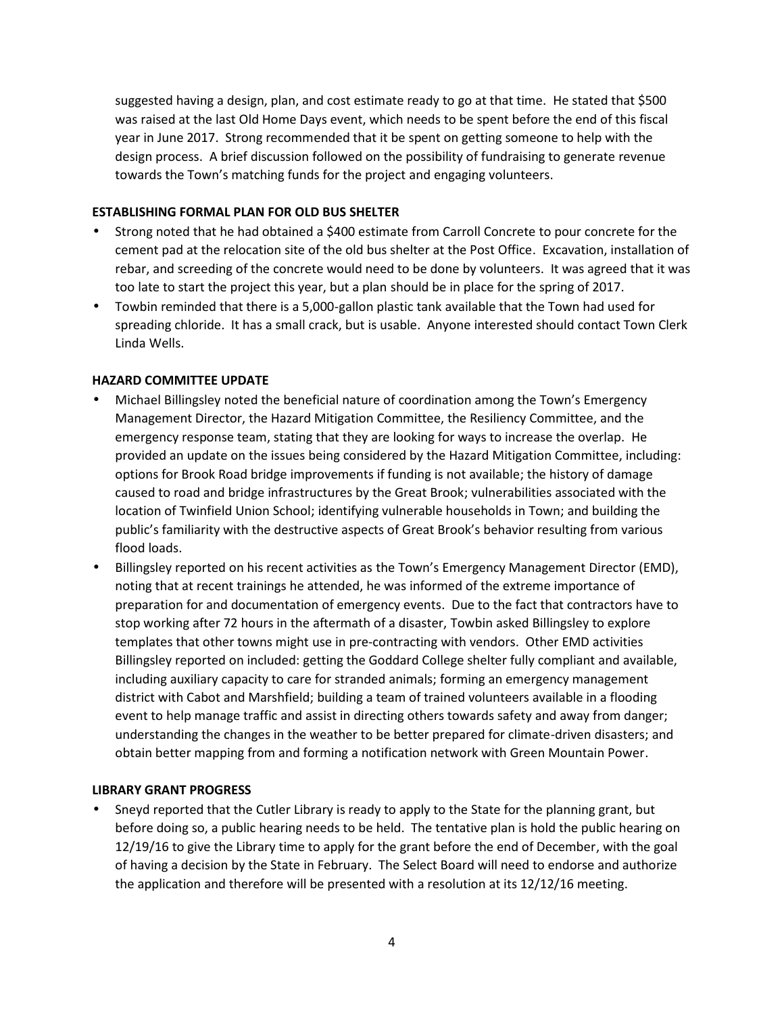suggested having a design, plan, and cost estimate ready to go at that time. He stated that \$500 was raised at the last Old Home Days event, which needs to be spent before the end of this fiscal year in June 2017. Strong recommended that it be spent on getting someone to help with the design process. A brief discussion followed on the possibility of fundraising to generate revenue towards the Town's matching funds for the project and engaging volunteers.

#### **ESTABLISHING FORMAL PLAN FOR OLD BUS SHELTER**

- Strong noted that he had obtained a \$400 estimate from Carroll Concrete to pour concrete for the cement pad at the relocation site of the old bus shelter at the Post Office. Excavation, installation of rebar, and screeding of the concrete would need to be done by volunteers. It was agreed that it was too late to start the project this year, but a plan should be in place for the spring of 2017.
- Towbin reminded that there is a 5,000-gallon plastic tank available that the Town had used for spreading chloride. It has a small crack, but is usable. Anyone interested should contact Town Clerk Linda Wells.

#### **HAZARD COMMITTEE UPDATE**

- Michael Billingsley noted the beneficial nature of coordination among the Town's Emergency Management Director, the Hazard Mitigation Committee, the Resiliency Committee, and the emergency response team, stating that they are looking for ways to increase the overlap. He provided an update on the issues being considered by the Hazard Mitigation Committee, including: options for Brook Road bridge improvements if funding is not available; the history of damage caused to road and bridge infrastructures by the Great Brook; vulnerabilities associated with the location of Twinfield Union School; identifying vulnerable households in Town; and building the public's familiarity with the destructive aspects of Great Brook's behavior resulting from various flood loads.
- Billingsley reported on his recent activities as the Town's Emergency Management Director (EMD), noting that at recent trainings he attended, he was informed of the extreme importance of preparation for and documentation of emergency events. Due to the fact that contractors have to stop working after 72 hours in the aftermath of a disaster, Towbin asked Billingsley to explore templates that other towns might use in pre-contracting with vendors. Other EMD activities Billingsley reported on included: getting the Goddard College shelter fully compliant and available, including auxiliary capacity to care for stranded animals; forming an emergency management district with Cabot and Marshfield; building a team of trained volunteers available in a flooding event to help manage traffic and assist in directing others towards safety and away from danger; understanding the changes in the weather to be better prepared for climate-driven disasters; and obtain better mapping from and forming a notification network with Green Mountain Power.

#### **LIBRARY GRANT PROGRESS**

 Sneyd reported that the Cutler Library is ready to apply to the State for the planning grant, but before doing so, a public hearing needs to be held. The tentative plan is hold the public hearing on 12/19/16 to give the Library time to apply for the grant before the end of December, with the goal of having a decision by the State in February. The Select Board will need to endorse and authorize the application and therefore will be presented with a resolution at its 12/12/16 meeting.